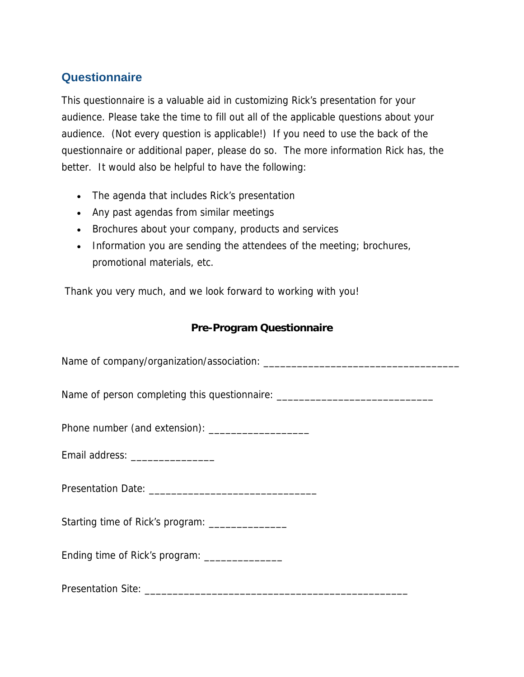# **Questionnaire**

This questionnaire is a valuable aid in customizing Rick's presentation for your audience. Please take the time to fill out all of the applicable questions about your audience. (Not every question is applicable!) If you need to use the back of the questionnaire or additional paper, please do so. The more information Rick has, the better. It would also be helpful to have the following:

- The agenda that includes Rick's presentation
- Any past agendas from similar meetings
- Brochures about your company, products and services
- Information you are sending the attendees of the meeting; brochures, promotional materials, etc.

Thank you very much, and we look forward to working with you!

## **Pre-Program Questionnaire**

Name of company/organization/association: \_\_\_\_\_\_\_\_\_\_\_\_\_\_\_\_\_\_\_\_\_\_\_\_\_\_\_\_\_\_\_\_\_\_\_

Name of person completing this questionnaire: \_\_\_\_\_\_\_\_\_\_\_\_\_\_\_\_\_\_\_\_\_\_\_\_\_\_\_\_\_\_\_\_\_\_

Phone number (and extension): \_\_\_\_\_\_\_\_\_\_\_\_\_\_\_\_\_\_

Email address: \_\_\_\_\_\_\_\_\_\_\_\_\_\_\_\_\_

Presentation Date: \_\_\_\_\_\_\_\_\_\_\_\_\_\_\_\_\_\_\_\_\_\_\_\_\_\_\_\_\_\_

Starting time of Rick's program: \_\_\_\_\_\_\_\_\_\_\_\_\_\_\_

Ending time of Rick's program: \_\_\_\_\_\_\_\_\_\_\_\_\_\_

Presentation Site: \_\_\_\_\_\_\_\_\_\_\_\_\_\_\_\_\_\_\_\_\_\_\_\_\_\_\_\_\_\_\_\_\_\_\_\_\_\_\_\_\_\_\_\_\_\_\_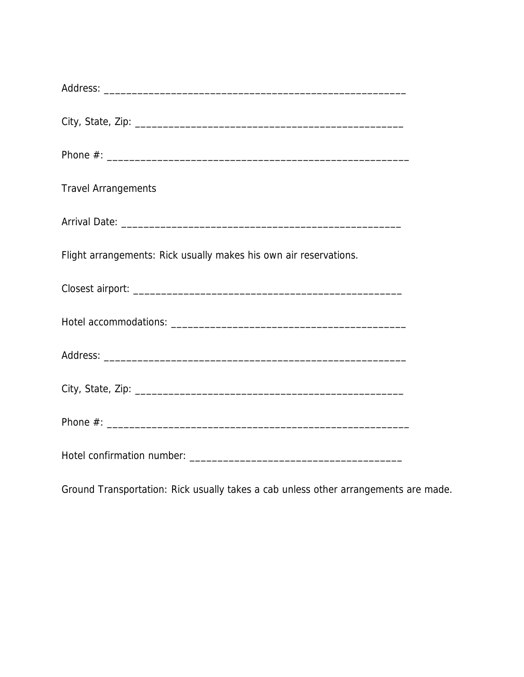| <b>Travel Arrangements</b>                                        |  |  |  |
|-------------------------------------------------------------------|--|--|--|
|                                                                   |  |  |  |
| Flight arrangements: Rick usually makes his own air reservations. |  |  |  |
|                                                                   |  |  |  |
|                                                                   |  |  |  |
|                                                                   |  |  |  |
|                                                                   |  |  |  |
|                                                                   |  |  |  |
|                                                                   |  |  |  |

Ground Transportation: Rick usually takes a cab unless other arrangements are made.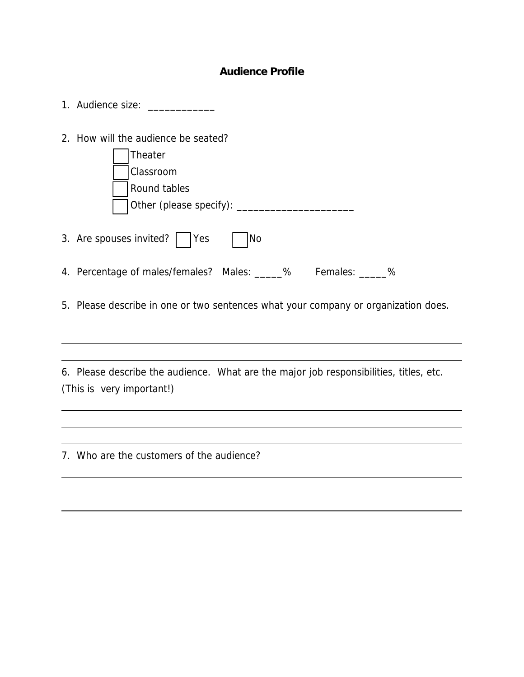### **Audience Profile**

|                                                                                                                     | 1. Audience size:                                                                  |  |  |
|---------------------------------------------------------------------------------------------------------------------|------------------------------------------------------------------------------------|--|--|
|                                                                                                                     | 2. How will the audience be seated?<br><b>Theater</b><br>Classroom<br>Round tables |  |  |
|                                                                                                                     | 3. Are spouses invited?  <br> No<br> Yes                                           |  |  |
|                                                                                                                     | 4. Percentage of males/females? Males: _____% Females: _____%                      |  |  |
|                                                                                                                     | 5. Please describe in one or two sentences what your company or organization does. |  |  |
|                                                                                                                     |                                                                                    |  |  |
| 6. Please describe the audience. What are the major job responsibilities, titles, etc.<br>(This is very important!) |                                                                                    |  |  |
|                                                                                                                     |                                                                                    |  |  |
|                                                                                                                     |                                                                                    |  |  |
|                                                                                                                     | 7. Who are the customers of the audience?                                          |  |  |
|                                                                                                                     |                                                                                    |  |  |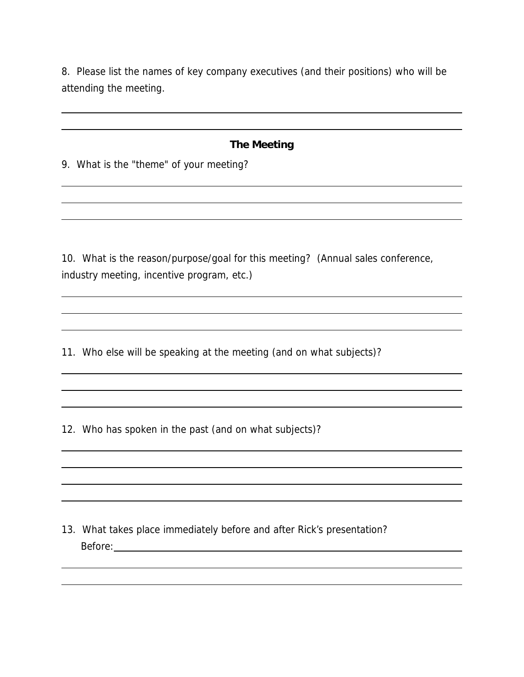8. Please list the names of key company executives (and their positions) who will be attending the meeting.

#### **The Meeting**

9. What is the "theme" of your meeting?

 $\overline{a}$ l

l l

l

l

10. What is the reason/purpose/goal for this meeting? (Annual sales conference, industry meeting, incentive program, etc.)

11. Who else will be speaking at the meeting (and on what subjects)?

12. Who has spoken in the past (and on what subjects)?

13. What takes place immediately before and after Rick's presentation? Before: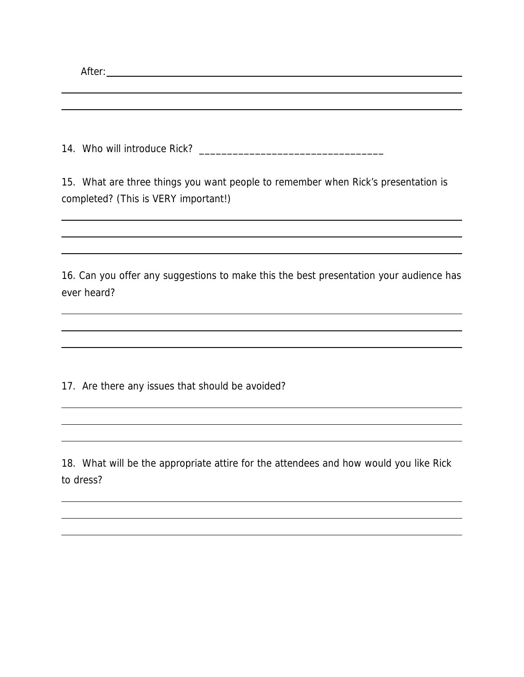| 15. What are three things you want people to remember when Rick's presentation is<br>completed? (This is VERY important!) |  |  |
|---------------------------------------------------------------------------------------------------------------------------|--|--|
|                                                                                                                           |  |  |
|                                                                                                                           |  |  |
| 16. Can you offer any suggestions to make this the best presentation your audience has                                    |  |  |
| ever heard?                                                                                                               |  |  |
|                                                                                                                           |  |  |
|                                                                                                                           |  |  |

17. Are there any issues that should be avoided?

l

l

18. What will be the appropriate attire for the attendees and how would you like Rick to dress?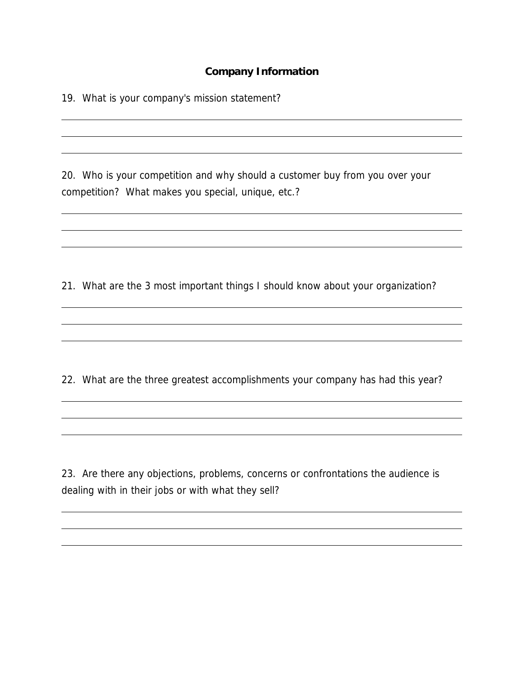#### **Company Information**

19. What is your company's mission statement?

l l

l

L l

l l

l

20. Who is your competition and why should a customer buy from you over your competition? What makes you special, unique, etc.?

21. What are the 3 most important things I should know about your organization?

22. What are the three greatest accomplishments your company has had this year?

23. Are there any objections, problems, concerns or confrontations the audience is dealing with in their jobs or with what they sell?